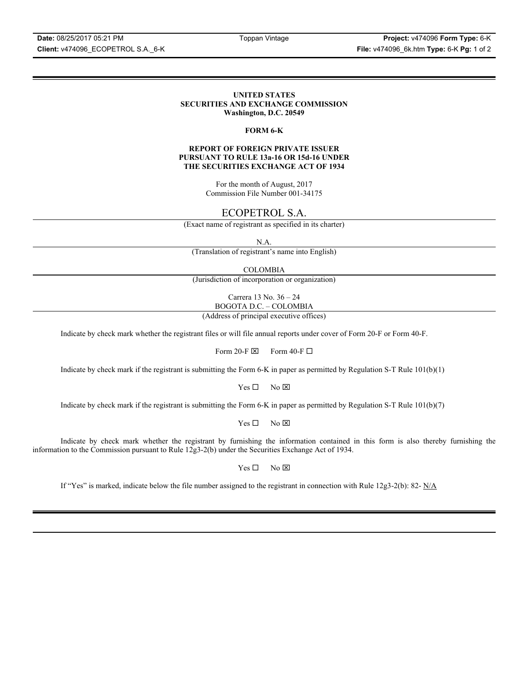**Client:** v474096\_ECOPETROL S.A.\_6-K **File:** v474096\_6k.htm **Type:** 6-K **Pg:** 1 of 2

#### **UNITED STATES SECURITIES AND EXCHANGE COMMISSION Washington, D.C. 20549**

#### **FORM 6-K**

#### **REPORT OF FOREIGN PRIVATE ISSUER PURSUANT TO RULE 13a-16 OR 15d-16 UNDER THE SECURITIES EXCHANGE ACT OF 1934**

For the month of August, 2017 Commission File Number 001-34175

# ECOPETROL S.A.

(Exact name of registrant as specified in its charter)

N.A.

(Translation of registrant's name into English)

COLOMBIA

(Jurisdiction of incorporation or organization)

Carrera 13 No. 36 – 24 BOGOTA D.C. – COLOMBIA

(Address of principal executive offices)

Indicate by check mark whether the registrant files or will file annual reports under cover of Form 20-F or Form 40-F.

Form 20-F  $\boxtimes$  Form 40-F  $\Box$ 

Indicate by check mark if the registrant is submitting the Form 6-K in paper as permitted by Regulation S-T Rule 101(b)(1)

 $Yes \Box$  No  $\boxtimes$ 

Indicate by check mark if the registrant is submitting the Form 6-K in paper as permitted by Regulation S-T Rule 101(b)(7)

 $Yes \Box$  No  $\boxtimes$ 

Indicate by check mark whether the registrant by furnishing the information contained in this form is also thereby furnishing the information to the Commission pursuant to Rule 12g3-2(b) under the Securities Exchange Act of 1934.

 $Yes \Box$  No  $\boxtimes$ 

If "Yes" is marked, indicate below the file number assigned to the registrant in connection with Rule 12g3-2(b): 82-  $N/A$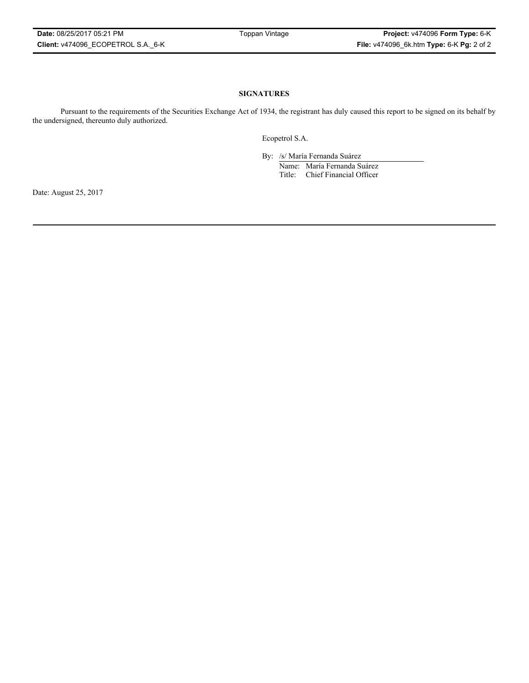#### **SIGNATURES**

Pursuant to the requirements of the Securities Exchange Act of 1934, the registrant has duly caused this report to be signed on its behalf by the undersigned, thereunto duly authorized.

Ecopetrol S.A.

By: /s/ María Fernanda Suárez Name: María Fernanda Suárez Title: Chief Financial Officer

Date: August 25, 2017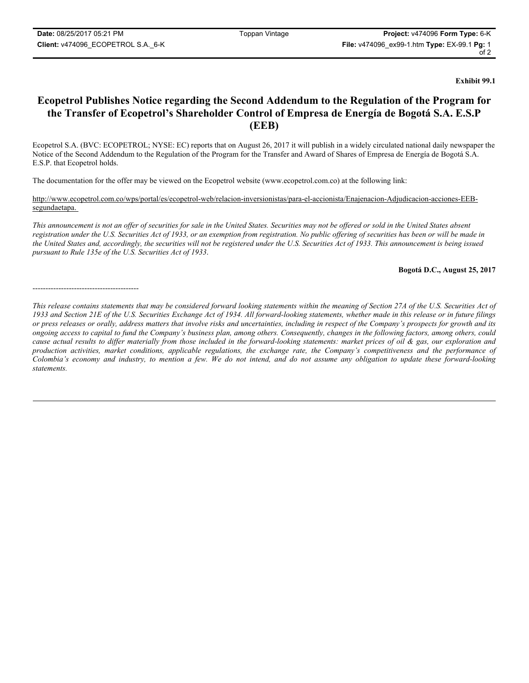**Exhibit 99.1**

# **Ecopetrol Publishes Notice regarding the Second Addendum to the Regulation of the Program for the Transfer of Ecopetrol's Shareholder Control of Empresa de Energía de Bogotá S.A. E.S.P (EEB)**

Ecopetrol S.A. (BVC: ECOPETROL; NYSE: EC) reports that on August 26, 2017 it will publish in a widely circulated national daily newspaper the Notice of the Second Addendum to the Regulation of the Program for the Transfer and Award of Shares of Empresa de Energía de Bogotá S.A. E.S.P. that Ecopetrol holds.

The documentation for the offer may be viewed on the Ecopetrol website (www.ecopetrol.com.co) at the following link:

http://www.ecopetrol.com.co/wps/portal/es/ecopetrol-web/relacion-inversionistas/para-el-accionista/Enajenacion-Adjudicacion-acciones-EEBsegundaetapa.

*This announcement is not an offer of securities for sale in the United States. Securities may not be offered or sold in the United States absent registration under the U.S. Securities Act of 1933, or an exemption from registration. No public offering of securities has been or will be made in the United States and, accordingly, the securities will not be registered under the U.S. Securities Act of 1933. This announcement is being issued pursuant to Rule 135e of the U.S. Securities Act of 1933*.

**Bogotá D.C., August 25, 2017**

-----------------------------------------

*This release contains statements that may be considered forward looking statements within the meaning of Section 27A of the U.S. Securities Act of 1933 and Section 21E of the U.S. Securities Exchange Act of 1934. All forward-looking statements, whether made in this release or in future filings or press releases or orally, address matters that involve risks and uncertainties, including in respect of the Company's prospects for growth and its ongoing access to capital to fund the Company's business plan, among others. Consequently, changes in the following factors, among others, could cause actual results to differ materially from those included in the forward-looking statements: market prices of oil & gas, our exploration and production activities, market conditions, applicable regulations, the exchange rate, the Company's competitiveness and the performance of Colombia's economy and industry, to mention a few. We do not intend, and do not assume any obligation to update these forward-looking statements.*